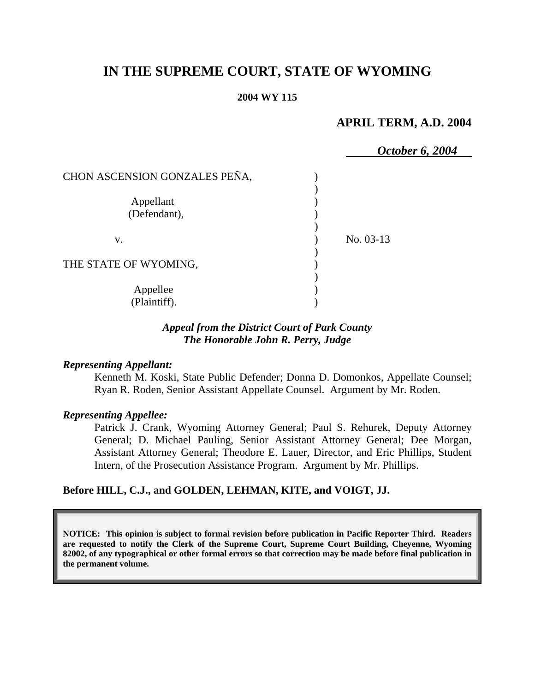# **IN THE SUPREME COURT, STATE OF WYOMING**

### **2004 WY 115**

# **APRIL TERM, A.D. 2004**

|                               | October 6, 2004 |
|-------------------------------|-----------------|
| CHON ASCENSION GONZALES PEÑA, |                 |
| Appellant<br>(Defendant),     |                 |
| V.                            | No. 03-13       |
| THE STATE OF WYOMING,         |                 |
| Appellee<br>(Plaintiff).      |                 |

# *Appeal from the District Court of Park County The Honorable John R. Perry, Judge*

#### *Representing Appellant:*

Kenneth M. Koski, State Public Defender; Donna D. Domonkos, Appellate Counsel; Ryan R. Roden, Senior Assistant Appellate Counsel. Argument by Mr. Roden.

#### *Representing Appellee:*

Patrick J. Crank, Wyoming Attorney General; Paul S. Rehurek, Deputy Attorney General; D. Michael Pauling, Senior Assistant Attorney General; Dee Morgan, Assistant Attorney General; Theodore E. Lauer, Director, and Eric Phillips, Student Intern, of the Prosecution Assistance Program. Argument by Mr. Phillips.

# **Before HILL, C.J., and GOLDEN, LEHMAN, KITE, and VOIGT, JJ.**

**NOTICE: This opinion is subject to formal revision before publication in Pacific Reporter Third. Readers are requested to notify the Clerk of the Supreme Court, Supreme Court Building, Cheyenne, Wyoming 82002, of any typographical or other formal errors so that correction may be made before final publication in the permanent volume.**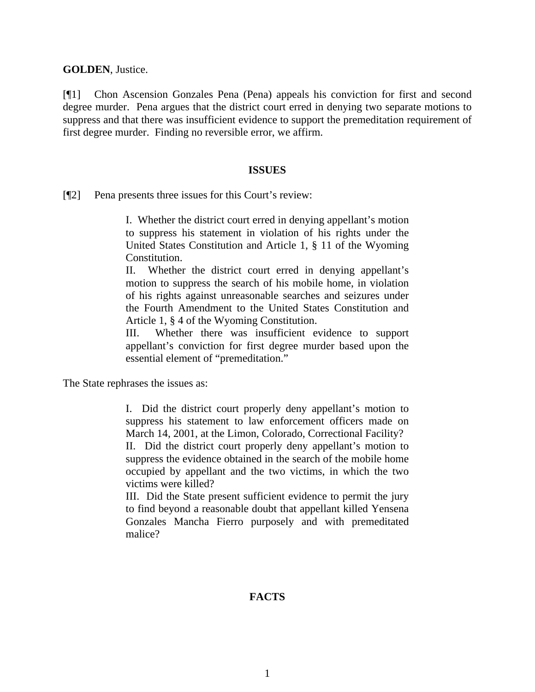**GOLDEN**, Justice.

[¶1] Chon Ascension Gonzales Pena (Pena) appeals his conviction for first and second degree murder. Pena argues that the district court erred in denying two separate motions to suppress and that there was insufficient evidence to support the premeditation requirement of first degree murder. Finding no reversible error, we affirm.

### **ISSUES**

[¶2] Pena presents three issues for this Court's review:

I. Whether the district court erred in denying appellant's motion to suppress his statement in violation of his rights under the United States Constitution and Article 1, § 11 of the Wyoming Constitution.

II. Whether the district court erred in denying appellant's motion to suppress the search of his mobile home, in violation of his rights against unreasonable searches and seizures under the Fourth Amendment to the United States Constitution and Article 1, § 4 of the Wyoming Constitution.

III. Whether there was insufficient evidence to support appellant's conviction for first degree murder based upon the essential element of "premeditation."

The State rephrases the issues as:

I. Did the district court properly deny appellant's motion to suppress his statement to law enforcement officers made on March 14, 2001, at the Limon, Colorado, Correctional Facility?

II. Did the district court properly deny appellant's motion to suppress the evidence obtained in the search of the mobile home occupied by appellant and the two victims, in which the two victims were killed?

III. Did the State present sufficient evidence to permit the jury to find beyond a reasonable doubt that appellant killed Yensena Gonzales Mancha Fierro purposely and with premeditated malice?

### **FACTS**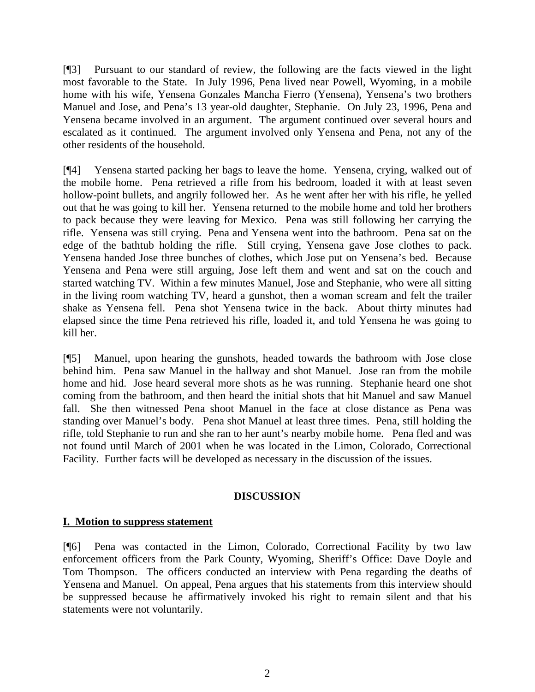[¶3] Pursuant to our standard of review, the following are the facts viewed in the light most favorable to the State. In July 1996, Pena lived near Powell, Wyoming, in a mobile home with his wife, Yensena Gonzales Mancha Fierro (Yensena), Yensena's two brothers Manuel and Jose, and Pena's 13 year-old daughter, Stephanie. On July 23, 1996, Pena and Yensena became involved in an argument. The argument continued over several hours and escalated as it continued. The argument involved only Yensena and Pena, not any of the other residents of the household.

[¶4] Yensena started packing her bags to leave the home. Yensena, crying, walked out of the mobile home. Pena retrieved a rifle from his bedroom, loaded it with at least seven hollow-point bullets, and angrily followed her. As he went after her with his rifle, he yelled out that he was going to kill her. Yensena returned to the mobile home and told her brothers to pack because they were leaving for Mexico. Pena was still following her carrying the rifle. Yensena was still crying. Pena and Yensena went into the bathroom. Pena sat on the edge of the bathtub holding the rifle. Still crying, Yensena gave Jose clothes to pack. Yensena handed Jose three bunches of clothes, which Jose put on Yensena's bed. Because Yensena and Pena were still arguing, Jose left them and went and sat on the couch and started watching TV. Within a few minutes Manuel, Jose and Stephanie, who were all sitting in the living room watching TV, heard a gunshot, then a woman scream and felt the trailer shake as Yensena fell. Pena shot Yensena twice in the back. About thirty minutes had elapsed since the time Pena retrieved his rifle, loaded it, and told Yensena he was going to kill her.

[¶5] Manuel, upon hearing the gunshots, headed towards the bathroom with Jose close behind him. Pena saw Manuel in the hallway and shot Manuel. Jose ran from the mobile home and hid. Jose heard several more shots as he was running. Stephanie heard one shot coming from the bathroom, and then heard the initial shots that hit Manuel and saw Manuel fall. She then witnessed Pena shoot Manuel in the face at close distance as Pena was standing over Manuel's body. Pena shot Manuel at least three times. Pena, still holding the rifle, told Stephanie to run and she ran to her aunt's nearby mobile home. Pena fled and was not found until March of 2001 when he was located in the Limon, Colorado, Correctional Facility. Further facts will be developed as necessary in the discussion of the issues.

### **DISCUSSION**

# **I. Motion to suppress statement**

[¶6] Pena was contacted in the Limon, Colorado, Correctional Facility by two law enforcement officers from the Park County, Wyoming, Sheriff's Office: Dave Doyle and Tom Thompson. The officers conducted an interview with Pena regarding the deaths of Yensena and Manuel. On appeal, Pena argues that his statements from this interview should be suppressed because he affirmatively invoked his right to remain silent and that his statements were not voluntarily.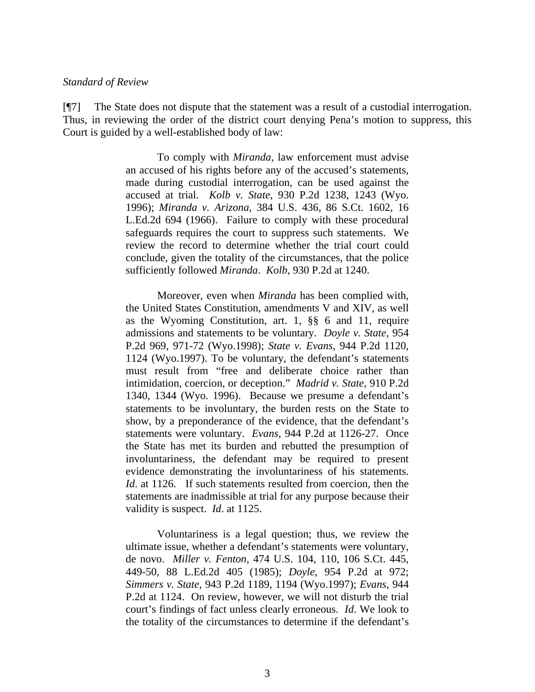#### *Standard of Review*

[¶7] The State does not dispute that the statement was a result of a custodial interrogation. Thus, in reviewing the order of the district court denying Pena's motion to suppress, this Court is guided by a well-established body of law:

> To comply with *Miranda*, law enforcement must advise an accused of his rights before any of the accused's statements, made during custodial interrogation, can be used against the accused at trial. *Kolb v. State*, 930 P.2d 1238, 1243 (Wyo. 1996); *Miranda v. Arizona*, 384 U.S. 436, 86 S.Ct. 1602, 16 L.Ed.2d 694 (1966). Failure to comply with these procedural safeguards requires the court to suppress such statements. We review the record to determine whether the trial court could conclude, given the totality of the circumstances, that the police sufficiently followed *Miranda*. *Kolb*, 930 P.2d at 1240.

> Moreover, even when *Miranda* has been complied with, the United States Constitution, amendments V and XIV, as well as the Wyoming Constitution, art. 1, §§ 6 and 11, require admissions and statements to be voluntary. *Doyle v. State*, 954 P.2d 969, 971-72 (Wyo.1998); *State v. Evans*, 944 P.2d 1120, 1124 (Wyo.1997). To be voluntary, the defendant's statements must result from "free and deliberate choice rather than intimidation, coercion, or deception." *Madrid v. State*, 910 P.2d 1340, 1344 (Wyo. 1996). Because we presume a defendant's statements to be involuntary, the burden rests on the State to show, by a preponderance of the evidence, that the defendant's statements were voluntary. *Evans*, 944 P.2d at 1126-27. Once the State has met its burden and rebutted the presumption of involuntariness, the defendant may be required to present evidence demonstrating the involuntariness of his statements. *Id.* at 1126. If such statements resulted from coercion, then the statements are inadmissible at trial for any purpose because their validity is suspect. *Id*. at 1125.

> Voluntariness is a legal question; thus, we review the ultimate issue, whether a defendant's statements were voluntary, de novo. *Miller v. Fenton*, 474 U.S. 104, 110, 106 S.Ct. 445, 449-50, 88 L.Ed.2d 405 (1985); *Doyle*, 954 P.2d at 972; *Simmers v. State*, 943 P.2d 1189, 1194 (Wyo.1997); *Evans*, 944 P.2d at 1124. On review, however, we will not disturb the trial court's findings of fact unless clearly erroneous. *Id*. We look to the totality of the circumstances to determine if the defendant's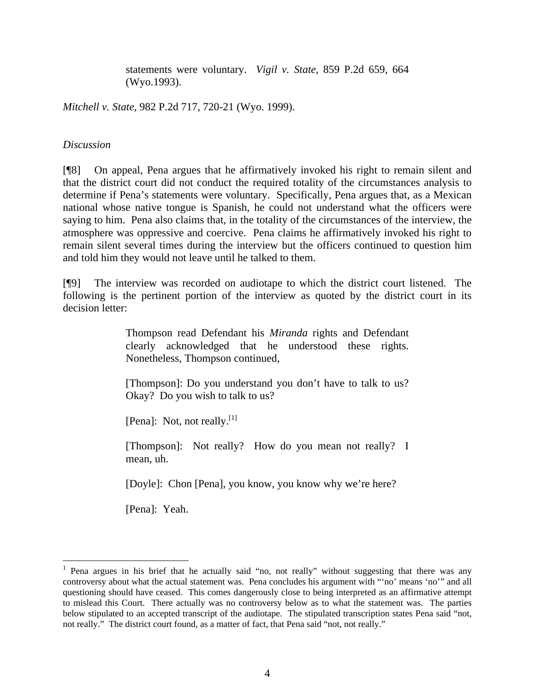statements were voluntary. *Vigil v. State*, 859 P.2d 659, 664 (Wyo.1993).

*Mitchell v. State*, 982 P.2d 717, 720-21 (Wyo. 1999).

# *Discussion*

[¶8] On appeal, Pena argues that he affirmatively invoked his right to remain silent and that the district court did not conduct the required totality of the circumstances analysis to determine if Pena's statements were voluntary. Specifically, Pena argues that, as a Mexican national whose native tongue is Spanish, he could not understand what the officers were saying to him. Pena also claims that, in the totality of the circumstances of the interview, the atmosphere was oppressive and coercive. Pena claims he affirmatively invoked his right to remain silent several times during the interview but the officers continued to question him and told him they would not leave until he talked to them.

[¶9] The interview was recorded on audiotape to which the district court listened. The following is the pertinent portion of the interview as quoted by the district court in its decision letter:

> Thompson read Defendant his *Miranda* rights and Defendant clearly acknowledged that he understood these rights. Nonetheless, Thompson continued,

> [Thompson]: Do you understand you don't have to talk to us? Okay? Do you wish to talk to us?

[Pena]: Not, not really. $^{[1]}$ 

[Thompson]: Not really? How do you mean not really? I mean, uh.

[Doyle]: Chon [Pena], you know, you know why we're here?

[Pena]: Yeah.

<sup>&</sup>lt;sup>1</sup> Pena argues in his brief that he actually said "no, not really" without suggesting that there was any controversy about what the actual statement was. Pena concludes his argument with "'no' means 'no'" and all questioning should have ceased. This comes dangerously close to being interpreted as an affirmative attempt to mislead this Court. There actually was no controversy below as to what the statement was. The parties below stipulated to an accepted transcript of the audiotape. The stipulated transcription states Pena said "not, not really." The district court found, as a matter of fact, that Pena said "not, not really."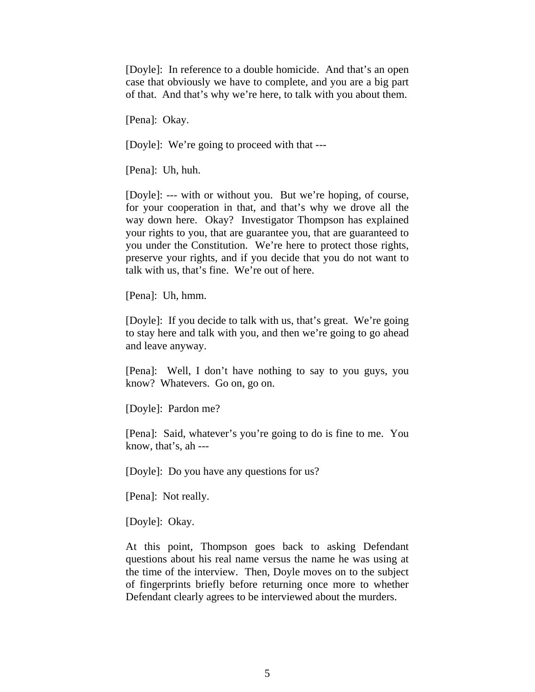[Doyle]: In reference to a double homicide. And that's an open case that obviously we have to complete, and you are a big part of that. And that's why we're here, to talk with you about them.

[Pena]: Okay.

[Doyle]: We're going to proceed with that ---

[Pena]: Uh, huh.

[Doyle]: --- with or without you. But we're hoping, of course, for your cooperation in that, and that's why we drove all the way down here. Okay? Investigator Thompson has explained your rights to you, that are guarantee you, that are guaranteed to you under the Constitution. We're here to protect those rights, preserve your rights, and if you decide that you do not want to talk with us, that's fine. We're out of here.

[Pena]: Uh, hmm.

[Doyle]: If you decide to talk with us, that's great. We're going to stay here and talk with you, and then we're going to go ahead and leave anyway.

[Pena]: Well, I don't have nothing to say to you guys, you know? Whatevers. Go on, go on.

[Doyle]: Pardon me?

[Pena]: Said, whatever's you're going to do is fine to me. You know, that's, ah ---

[Doyle]: Do you have any questions for us?

[Pena]: Not really.

[Doyle]: Okay.

At this point, Thompson goes back to asking Defendant questions about his real name versus the name he was using at the time of the interview. Then, Doyle moves on to the subject of fingerprints briefly before returning once more to whether Defendant clearly agrees to be interviewed about the murders.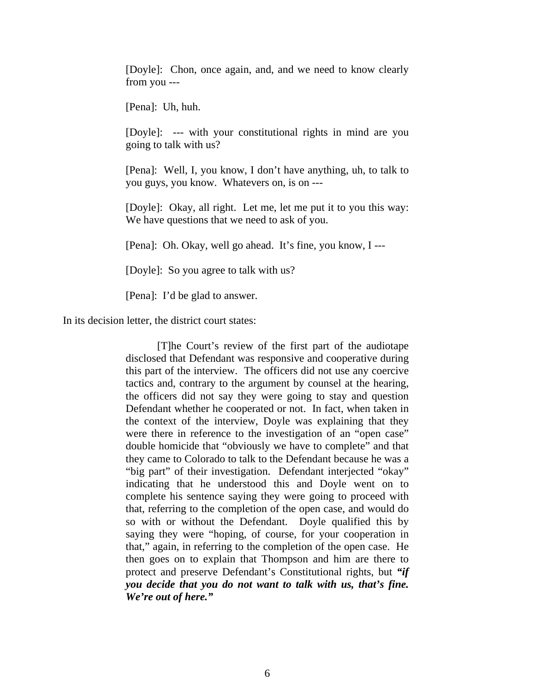[Doyle]: Chon, once again, and, and we need to know clearly from you ---

[Pena]: Uh, huh.

[Doyle]: --- with your constitutional rights in mind are you going to talk with us?

[Pena]: Well, I, you know, I don't have anything, uh, to talk to you guys, you know. Whatevers on, is on ---

[Doyle]: Okay, all right. Let me, let me put it to you this way: We have questions that we need to ask of you.

[Pena]: Oh. Okay, well go ahead. It's fine, you know, I ---

[Doyle]: So you agree to talk with us?

[Pena]: I'd be glad to answer.

In its decision letter, the district court states:

[T]he Court's review of the first part of the audiotape disclosed that Defendant was responsive and cooperative during this part of the interview. The officers did not use any coercive tactics and, contrary to the argument by counsel at the hearing, the officers did not say they were going to stay and question Defendant whether he cooperated or not. In fact, when taken in the context of the interview, Doyle was explaining that they were there in reference to the investigation of an "open case" double homicide that "obviously we have to complete" and that they came to Colorado to talk to the Defendant because he was a "big part" of their investigation. Defendant interjected "okay" indicating that he understood this and Doyle went on to complete his sentence saying they were going to proceed with that, referring to the completion of the open case, and would do so with or without the Defendant. Doyle qualified this by saying they were "hoping, of course, for your cooperation in that," again, in referring to the completion of the open case. He then goes on to explain that Thompson and him are there to protect and preserve Defendant's Constitutional rights, but *"if you decide that you do not want to talk with us, that's fine. We're out of here."*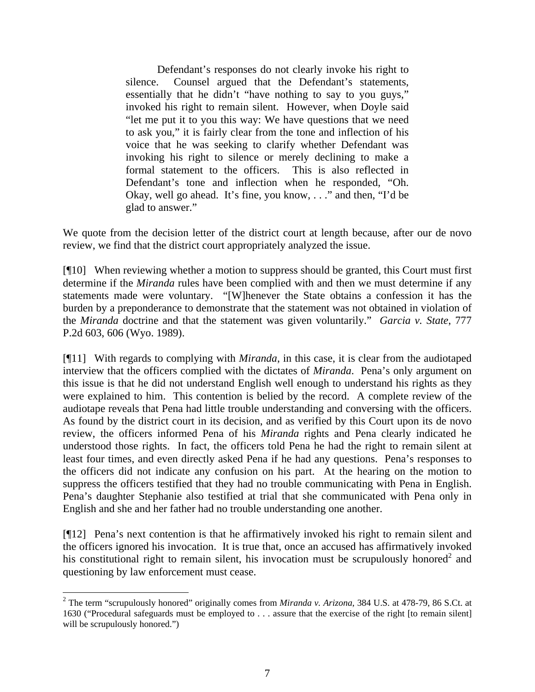Defendant's responses do not clearly invoke his right to silence. Counsel argued that the Defendant's statements, essentially that he didn't "have nothing to say to you guys," invoked his right to remain silent. However, when Doyle said "let me put it to you this way: We have questions that we need to ask you," it is fairly clear from the tone and inflection of his voice that he was seeking to clarify whether Defendant was invoking his right to silence or merely declining to make a formal statement to the officers. This is also reflected in Defendant's tone and inflection when he responded, "Oh. Okay, well go ahead. It's fine, you know, . . ." and then, "I'd be glad to answer."

We quote from the decision letter of the district court at length because, after our de novo review, we find that the district court appropriately analyzed the issue.

[¶10] When reviewing whether a motion to suppress should be granted, this Court must first determine if the *Miranda* rules have been complied with and then we must determine if any statements made were voluntary. "[W]henever the State obtains a confession it has the burden by a preponderance to demonstrate that the statement was not obtained in violation of the *Miranda* doctrine and that the statement was given voluntarily." *Garcia v. State*, 777 P.2d 603, 606 (Wyo. 1989).

[¶11] With regards to complying with *Miranda*, in this case, it is clear from the audiotaped interview that the officers complied with the dictates of *Miranda*. Pena's only argument on this issue is that he did not understand English well enough to understand his rights as they were explained to him. This contention is belied by the record. A complete review of the audiotape reveals that Pena had little trouble understanding and conversing with the officers. As found by the district court in its decision, and as verified by this Court upon its de novo review, the officers informed Pena of his *Miranda* rights and Pena clearly indicated he understood those rights. In fact, the officers told Pena he had the right to remain silent at least four times, and even directly asked Pena if he had any questions. Pena's responses to the officers did not indicate any confusion on his part. At the hearing on the motion to suppress the officers testified that they had no trouble communicating with Pena in English. Pena's daughter Stephanie also testified at trial that she communicated with Pena only in English and she and her father had no trouble understanding one another.

[¶12] Pena's next contention is that he affirmatively invoked his right to remain silent and the officers ignored his invocation. It is true that, once an accused has affirmatively invoked his constitutional right to remain silent, his invocation must be scrupulously honored<sup>2</sup> and questioning by law enforcement must cease.

 2 The term "scrupulously honored" originally comes from *Miranda v. Arizona*, 384 U.S. at 478-79, 86 S.Ct. at 1630 ("Procedural safeguards must be employed to . . . assure that the exercise of the right [to remain silent] will be scrupulously honored.")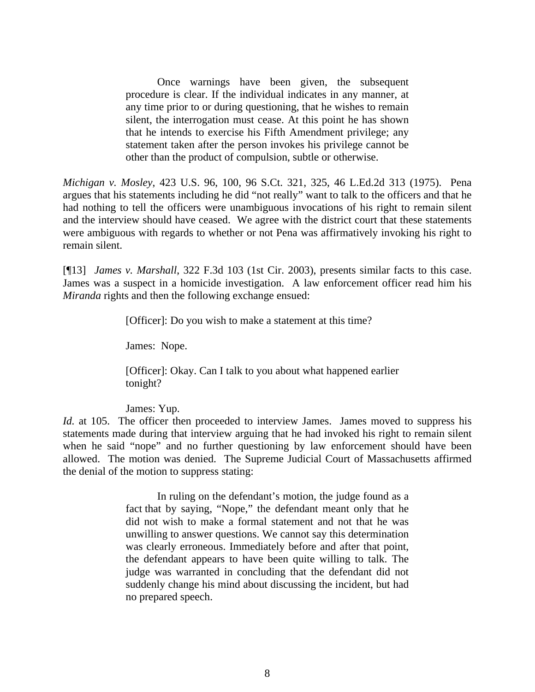Once warnings have been given, the subsequent procedure is clear. If the individual indicates in any manner, at any time prior to or during questioning, that he wishes to remain silent, the interrogation must cease. At this point he has shown that he intends to exercise his Fifth Amendment privilege; any statement taken after the person invokes his privilege cannot be other than the product of compulsion, subtle or otherwise.

*Michigan v. Mosley*, 423 U.S. 96, 100, 96 S.Ct. 321, 325, 46 L.Ed.2d 313 (1975). Pena argues that his statements including he did "not really" want to talk to the officers and that he had nothing to tell the officers were unambiguous invocations of his right to remain silent and the interview should have ceased. We agree with the district court that these statements were ambiguous with regards to whether or not Pena was affirmatively invoking his right to remain silent.

[¶13] *James v. Marshall*, 322 F.3d 103 (1st Cir. 2003), presents similar facts to this case. James was a suspect in a homicide investigation. A law enforcement officer read him his *Miranda* rights and then the following exchange ensued:

[Officer]: Do you wish to make a statement at this time?

James: Nope.

[Officer]: Okay. Can I talk to you about what happened earlier tonight?

James: Yup.

*Id.* at 105. The officer then proceeded to interview James. James moved to suppress his statements made during that interview arguing that he had invoked his right to remain silent when he said "nope" and no further questioning by law enforcement should have been allowed. The motion was denied. The Supreme Judicial Court of Massachusetts affirmed the denial of the motion to suppress stating:

> In ruling on the defendant's motion, the judge found as a fact that by saying, "Nope," the defendant meant only that he did not wish to make a formal statement and not that he was unwilling to answer questions. We cannot say this determination was clearly erroneous. Immediately before and after that point, the defendant appears to have been quite willing to talk. The judge was warranted in concluding that the defendant did not suddenly change his mind about discussing the incident, but had no prepared speech.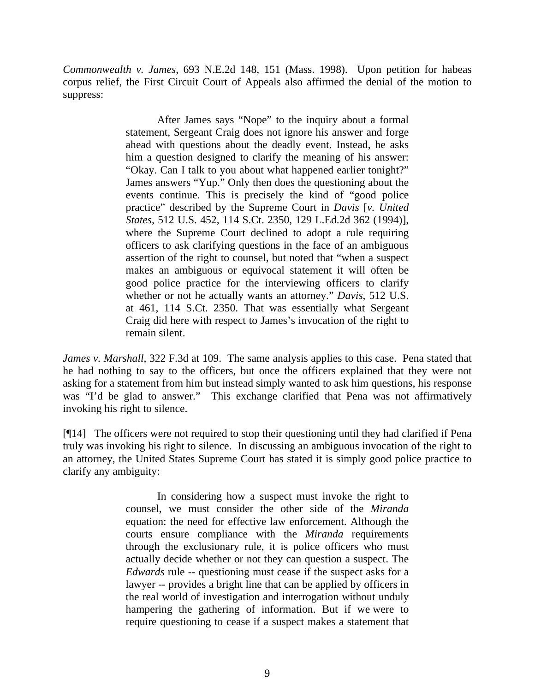*Commonwealth v. James*, 693 N.E.2d 148, 151 (Mass. 1998). Upon petition for habeas corpus relief, the First Circuit Court of Appeals also affirmed the denial of the motion to suppress:

> After James says "Nope" to the inquiry about a formal statement, Sergeant Craig does not ignore his answer and forge ahead with questions about the deadly event. Instead, he asks him a question designed to clarify the meaning of his answer: "Okay. Can I talk to you about what happened earlier tonight?" James answers "Yup." Only then does the questioning about the events continue. This is precisely the kind of "good police practice" described by the Supreme Court in *Davis* [*v. United States*, 512 U.S. 452, 114 S.Ct. 2350, 129 L.Ed.2d 362 (1994)], where the Supreme Court declined to adopt a rule requiring officers to ask clarifying questions in the face of an ambiguous assertion of the right to counsel, but noted that "when a suspect makes an ambiguous or equivocal statement it will often be good police practice for the interviewing officers to clarify whether or not he actually wants an attorney." *Davis*, 512 U.S. at 461, 114 S.Ct. 2350. That was essentially what Sergeant Craig did here with respect to James's invocation of the right to remain silent.

*James v. Marshall,* 322 F.3d at 109. The same analysis applies to this case. Pena stated that he had nothing to say to the officers, but once the officers explained that they were not asking for a statement from him but instead simply wanted to ask him questions, his response was "I'd be glad to answer." This exchange clarified that Pena was not affirmatively invoking his right to silence.

[¶14] The officers were not required to stop their questioning until they had clarified if Pena truly was invoking his right to silence. In discussing an ambiguous invocation of the right to an attorney, the United States Supreme Court has stated it is simply good police practice to clarify any ambiguity:

> In considering how a suspect must invoke the right to counsel, we must consider the other side of the *Miranda*  equation: the need for effective law enforcement. Although the courts ensure compliance with the *Miranda* requirements through the exclusionary rule, it is police officers who must actually decide whether or not they can question a suspect. The *Edwards* rule -- questioning must cease if the suspect asks for a lawyer -- provides a bright line that can be applied by officers in the real world of investigation and interrogation without unduly hampering the gathering of information. But if we were to require questioning to cease if a suspect makes a statement that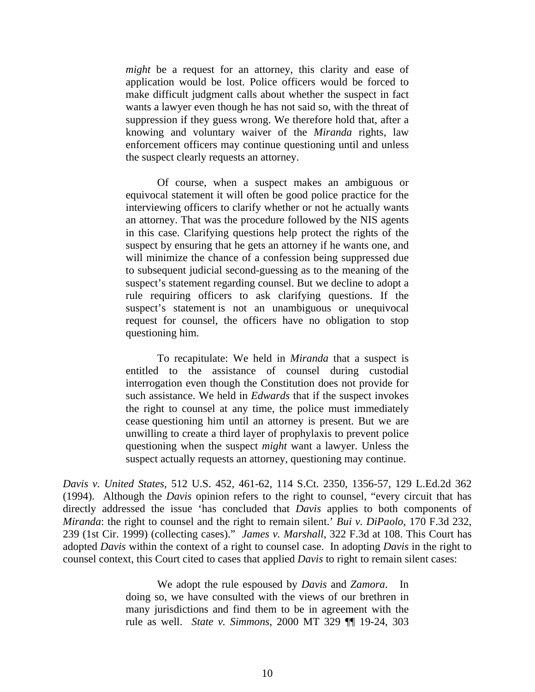*might* be a request for an attorney, this clarity and ease of application would be lost. Police officers would be forced to make difficult judgment calls about whether the suspect in fact wants a lawyer even though he has not said so, with the threat of suppression if they guess wrong. We therefore hold that, after a knowing and voluntary waiver of the *Miranda* rights, law enforcement officers may continue questioning until and unless the suspect clearly requests an attorney.

Of course, when a suspect makes an ambiguous or equivocal statement it will often be good police practice for the interviewing officers to clarify whether or not he actually wants an attorney. That was the procedure followed by the NIS agents in this case. Clarifying questions help protect the rights of the suspect by ensuring that he gets an attorney if he wants one, and will minimize the chance of a confession being suppressed due to subsequent judicial second-guessing as to the meaning of the suspect's statement regarding counsel. But we decline to adopt a rule requiring officers to ask clarifying questions. If the suspect's statement is not an unambiguous or unequivocal request for counsel, the officers have no obligation to stop questioning him.

To recapitulate: We held in *Miranda* that a suspect is entitled to the assistance of counsel during custodial interrogation even though the Constitution does not provide for such assistance. We held in *Edwards* that if the suspect invokes the right to counsel at any time, the police must immediately cease questioning him until an attorney is present. But we are unwilling to create a third layer of prophylaxis to prevent police questioning when the suspect *might* want a lawyer. Unless the suspect actually requests an attorney, questioning may continue.

*Davis v. United States*, 512 U.S. 452, 461-62, 114 S.Ct. 2350, 1356-57, 129 L.Ed.2d 362 (1994). Although the *Davis* opinion refers to the right to counsel, "every circuit that has directly addressed the issue 'has concluded that *Davis* applies to both components of *Miranda*: the right to counsel and the right to remain silent.' *Bui v. DiPaolo*, 170 F.3d 232, 239 (1st Cir. 1999) (collecting cases)." *James v. Marshall*, 322 F.3d at 108. This Court has adopted *Davis* within the context of a right to counsel case. In adopting *Davis* in the right to counsel context, this Court cited to cases that applied *Davis* to right to remain silent cases:

> We adopt the rule espoused by *Davis* and *Zamora*. In doing so, we have consulted with the views of our brethren in many jurisdictions and find them to be in agreement with the rule as well. *State v. Simmons*, 2000 MT 329 ¶¶ 19-24, 303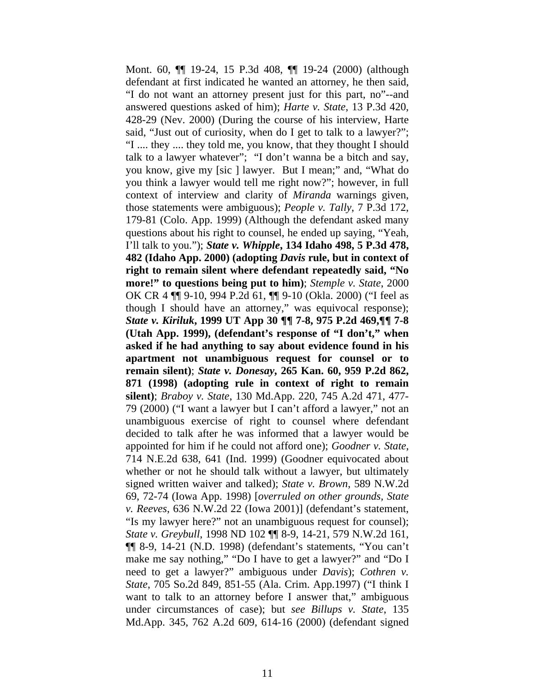Mont. 60, ¶¶ 19-24, 15 P.3d 408, ¶¶ 19-24 (2000) (although defendant at first indicated he wanted an attorney, he then said, "I do not want an attorney present just for this part, no"--and answered questions asked of him); *Harte v. State*, 13 P.3d 420, 428-29 (Nev. 2000) (During the course of his interview, Harte said, "Just out of curiosity, when do I get to talk to a lawyer?"; "I .... they .... they told me, you know, that they thought I should talk to a lawyer whatever"; "I don't wanna be a bitch and say, you know, give my [sic ] lawyer. But I mean;" and, "What do you think a lawyer would tell me right now?"; however, in full context of interview and clarity of *Miranda* warnings given, those statements were ambiguous); *People v. Tally*, 7 P.3d 172, 179-81 (Colo. App. 1999) (Although the defendant asked many questions about his right to counsel, he ended up saying, "Yeah, I'll talk to you."); *State v. Whipple***, 134 Idaho 498, 5 P.3d 478, 482 (Idaho App. 2000) (adopting** *Davis* **rule, but in context of right to remain silent where defendant repeatedly said, "No more!" to questions being put to him)**; *Stemple v. State*, 2000 OK CR 4 ¶¶ 9-10, 994 P.2d 61, ¶¶ 9-10 (Okla. 2000) ("I feel as though I should have an attorney," was equivocal response); *State v. Kiriluk***, 1999 UT App 30 ¶¶ 7-8, 975 P.2d 469,¶¶ 7-8 (Utah App. 1999), (defendant's response of "I don't," when asked if he had anything to say about evidence found in his apartment not unambiguous request for counsel or to remain silent)**; *State v. Donesay***, 265 Kan. 60, 959 P.2d 862, 871 (1998) (adopting rule in context of right to remain silent)**; *Braboy v. State*, 130 Md.App. 220, 745 A.2d 471, 477- 79 (2000) ("I want a lawyer but I can't afford a lawyer," not an unambiguous exercise of right to counsel where defendant decided to talk after he was informed that a lawyer would be appointed for him if he could not afford one); *Goodner v. State*, 714 N.E.2d 638, 641 (Ind. 1999) (Goodner equivocated about whether or not he should talk without a lawyer, but ultimately signed written waiver and talked); *State v. Brown*, 589 N.W.2d 69, 72-74 (Iowa App. 1998) [*overruled on other grounds, State v. Reeves*, 636 N.W.2d 22 (Iowa 2001)] (defendant's statement, "Is my lawyer here?" not an unambiguous request for counsel); *State v. Greybull*, 1998 ND 102 ¶¶ 8-9, 14-21, 579 N.W.2d 161, ¶¶ 8-9, 14-21 (N.D. 1998) (defendant's statements, "You can't make me say nothing," "Do I have to get a lawyer?" and "Do I need to get a lawyer?" ambiguous under *Davis*); *Cothren v. State*, 705 So.2d 849, 851-55 (Ala. Crim. App.1997) ("I think I want to talk to an attorney before I answer that," ambiguous under circumstances of case); but *see Billups v. State*, 135 Md.App. 345, 762 A.2d 609, 614-16 (2000) (defendant signed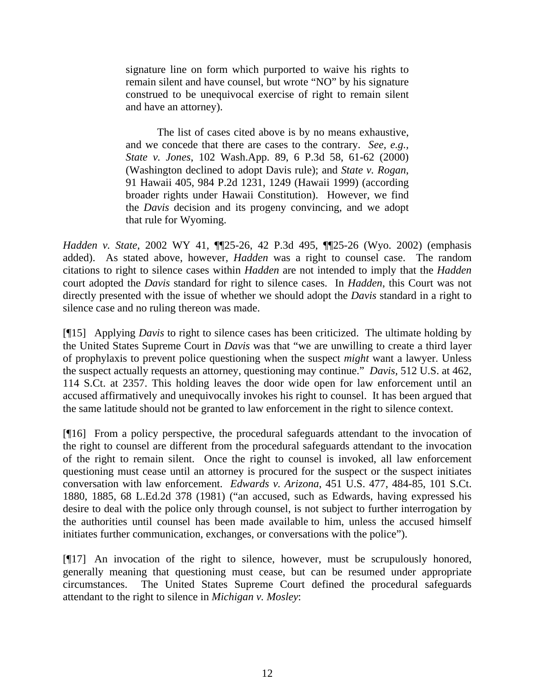signature line on form which purported to waive his rights to remain silent and have counsel, but wrote "NO" by his signature construed to be unequivocal exercise of right to remain silent and have an attorney).

The list of cases cited above is by no means exhaustive, and we concede that there are cases to the contrary. *See, e.g., State v. Jones*, 102 Wash.App. 89, 6 P.3d 58, 61-62 (2000) (Washington declined to adopt Davis rule); and *State v. Rogan*, 91 Hawaii 405, 984 P.2d 1231, 1249 (Hawaii 1999) (according broader rights under Hawaii Constitution). However, we find the *Davis* decision and its progeny convincing, and we adopt that rule for Wyoming.

*Hadden v. State*, 2002 WY 41, ¶¶25-26, 42 P.3d 495, ¶¶25-26 (Wyo. 2002) (emphasis added). As stated above, however, *Hadden* was a right to counsel case. The random citations to right to silence cases within *Hadden* are not intended to imply that the *Hadden* court adopted the *Davis* standard for right to silence cases. In *Hadden*, this Court was not directly presented with the issue of whether we should adopt the *Davis* standard in a right to silence case and no ruling thereon was made.

[¶15] Applying *Davis* to right to silence cases has been criticized. The ultimate holding by the United States Supreme Court in *Davis* was that "we are unwilling to create a third layer of prophylaxis to prevent police questioning when the suspect *might* want a lawyer. Unless the suspect actually requests an attorney, questioning may continue." *Davis,* 512 U.S. at 462, 114 S.Ct. at 2357. This holding leaves the door wide open for law enforcement until an accused affirmatively and unequivocally invokes his right to counsel. It has been argued that the same latitude should not be granted to law enforcement in the right to silence context.

[¶16] From a policy perspective, the procedural safeguards attendant to the invocation of the right to counsel are different from the procedural safeguards attendant to the invocation of the right to remain silent. Once the right to counsel is invoked, all law enforcement questioning must cease until an attorney is procured for the suspect or the suspect initiates conversation with law enforcement. *Edwards v. Arizona*, 451 U.S. 477, 484-85, 101 S.Ct. 1880, 1885, 68 L.Ed.2d 378 (1981) ("an accused, such as Edwards, having expressed his desire to deal with the police only through counsel, is not subject to further interrogation by the authorities until counsel has been made available to him, unless the accused himself initiates further communication, exchanges, or conversations with the police").

[¶17] An invocation of the right to silence, however, must be scrupulously honored, generally meaning that questioning must cease, but can be resumed under appropriate circumstances. The United States Supreme Court defined the procedural safeguards attendant to the right to silence in *Michigan v. Mosley*: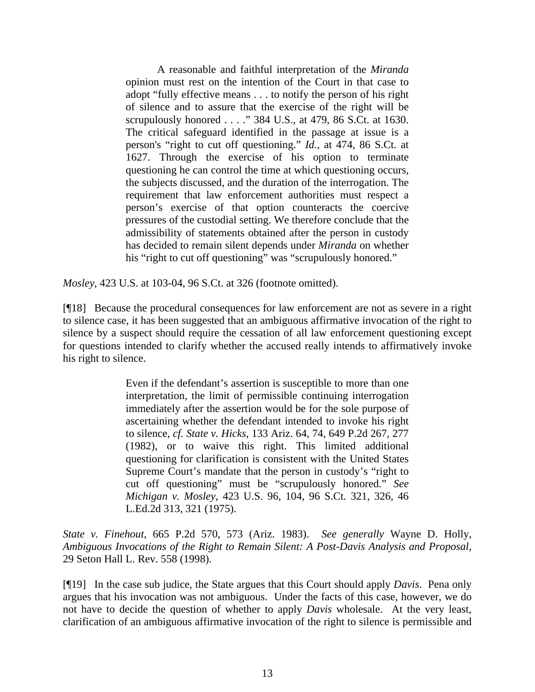A reasonable and faithful interpretation of the *Miranda*  opinion must rest on the intention of the Court in that case to adopt "fully effective means . . . to notify the person of his right of silence and to assure that the exercise of the right will be scrupulously honored . . . ." 384 U.S., at 479, 86 S.Ct. at 1630. The critical safeguard identified in the passage at issue is a person's "right to cut off questioning." *Id.*, at 474, 86 S.Ct. at 1627. Through the exercise of his option to terminate questioning he can control the time at which questioning occurs, the subjects discussed, and the duration of the interrogation. The requirement that law enforcement authorities must respect a person's exercise of that option counteracts the coercive pressures of the custodial setting. We therefore conclude that the admissibility of statements obtained after the person in custody has decided to remain silent depends under *Miranda* on whether his "right to cut off questioning" was "scrupulously honored."

*Mosley*, 423 U.S. at 103-04, 96 S.Ct. at 326 (footnote omitted).

[¶18] Because the procedural consequences for law enforcement are not as severe in a right to silence case, it has been suggested that an ambiguous affirmative invocation of the right to silence by a suspect should require the cessation of all law enforcement questioning except for questions intended to clarify whether the accused really intends to affirmatively invoke his right to silence.

> Even if the defendant's assertion is susceptible to more than one interpretation, the limit of permissible continuing interrogation immediately after the assertion would be for the sole purpose of ascertaining whether the defendant intended to invoke his right to silence, *cf. State v. Hicks*, 133 Ariz. 64, 74, 649 P.2d 267, 277 (1982), or to waive this right. This limited additional questioning for clarification is consistent with the United States Supreme Court's mandate that the person in custody's "right to cut off questioning" must be "scrupulously honored." *See Michigan v. Mosley*, 423 U.S. 96, 104, 96 S.Ct. 321, 326, 46 L.Ed.2d 313, 321 (1975).

*State v. Finehout*, 665 P.2d 570, 573 (Ariz. 1983). *See generally* Wayne D. Holly, *Ambiguous Invocations of the Right to Remain Silent: A Post-Davis Analysis and Proposal*, 29 Seton Hall L. Rev. 558 (1998).

[¶19] In the case sub judice, the State argues that this Court should apply *Davis*. Pena only argues that his invocation was not ambiguous. Under the facts of this case, however, we do not have to decide the question of whether to apply *Davis* wholesale. At the very least, clarification of an ambiguous affirmative invocation of the right to silence is permissible and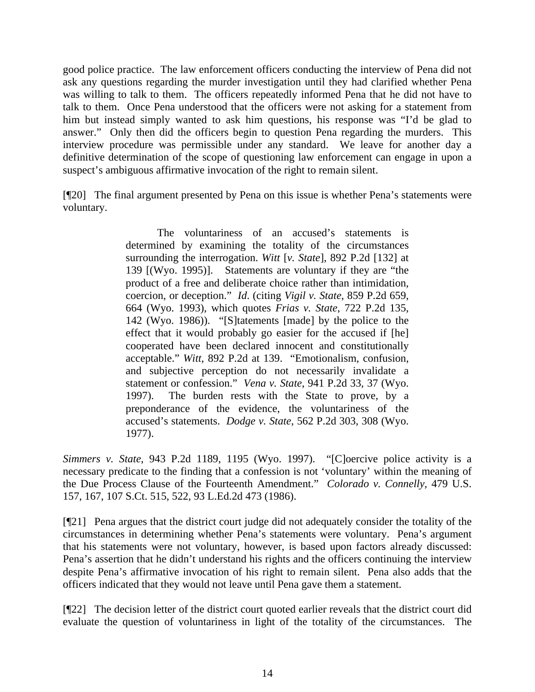good police practice. The law enforcement officers conducting the interview of Pena did not ask any questions regarding the murder investigation until they had clarified whether Pena was willing to talk to them. The officers repeatedly informed Pena that he did not have to talk to them. Once Pena understood that the officers were not asking for a statement from him but instead simply wanted to ask him questions, his response was "I'd be glad to answer." Only then did the officers begin to question Pena regarding the murders. This interview procedure was permissible under any standard. We leave for another day a definitive determination of the scope of questioning law enforcement can engage in upon a suspect's ambiguous affirmative invocation of the right to remain silent.

[¶20] The final argument presented by Pena on this issue is whether Pena's statements were voluntary.

> The voluntariness of an accused's statements is determined by examining the totality of the circumstances surrounding the interrogation. *Witt* [*v. State*], 892 P.2d [132] at 139 [(Wyo. 1995)]. Statements are voluntary if they are "the product of a free and deliberate choice rather than intimidation, coercion, or deception." *Id*. (citing *Vigil v. State*, 859 P.2d 659, 664 (Wyo. 1993), which quotes *Frias v. State*, 722 P.2d 135, 142 (Wyo. 1986)). "[S]tatements [made] by the police to the effect that it would probably go easier for the accused if [he] cooperated have been declared innocent and constitutionally acceptable." *Witt*, 892 P.2d at 139. "Emotionalism, confusion, and subjective perception do not necessarily invalidate a statement or confession." *Vena v. State*, 941 P.2d 33, 37 (Wyo. 1997). The burden rests with the State to prove, by a preponderance of the evidence, the voluntariness of the accused's statements. *Dodge v. State*, 562 P.2d 303, 308 (Wyo. 1977).

*Simmers v. State*, 943 P.2d 1189, 1195 (Wyo. 1997). "[C]oercive police activity is a necessary predicate to the finding that a confession is not 'voluntary' within the meaning of the Due Process Clause of the Fourteenth Amendment." *Colorado v. Connelly*, 479 U.S. 157, 167, 107 S.Ct. 515, 522, 93 L.Ed.2d 473 (1986).

[¶21] Pena argues that the district court judge did not adequately consider the totality of the circumstances in determining whether Pena's statements were voluntary. Pena's argument that his statements were not voluntary, however, is based upon factors already discussed: Pena's assertion that he didn't understand his rights and the officers continuing the interview despite Pena's affirmative invocation of his right to remain silent. Pena also adds that the officers indicated that they would not leave until Pena gave them a statement.

[¶22] The decision letter of the district court quoted earlier reveals that the district court did evaluate the question of voluntariness in light of the totality of the circumstances. The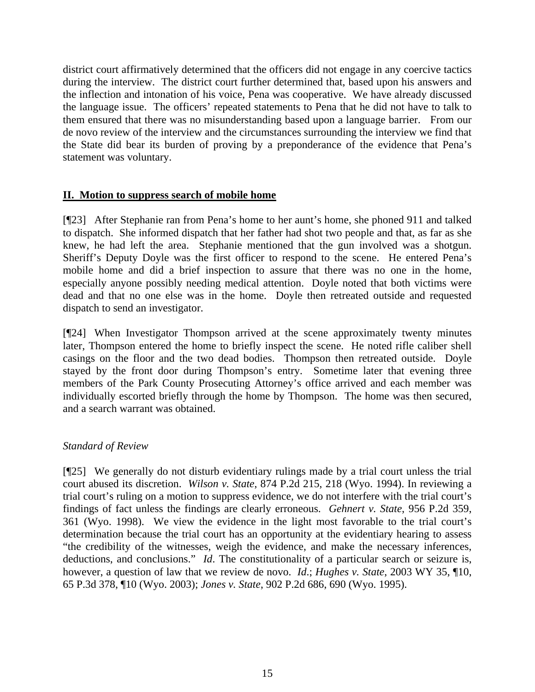district court affirmatively determined that the officers did not engage in any coercive tactics during the interview. The district court further determined that, based upon his answers and the inflection and intonation of his voice, Pena was cooperative. We have already discussed the language issue. The officers' repeated statements to Pena that he did not have to talk to them ensured that there was no misunderstanding based upon a language barrier. From our de novo review of the interview and the circumstances surrounding the interview we find that the State did bear its burden of proving by a preponderance of the evidence that Pena's statement was voluntary.

# **II. Motion to suppress search of mobile home**

[¶23] After Stephanie ran from Pena's home to her aunt's home, she phoned 911 and talked to dispatch. She informed dispatch that her father had shot two people and that, as far as she knew, he had left the area. Stephanie mentioned that the gun involved was a shotgun. Sheriff's Deputy Doyle was the first officer to respond to the scene. He entered Pena's mobile home and did a brief inspection to assure that there was no one in the home, especially anyone possibly needing medical attention. Doyle noted that both victims were dead and that no one else was in the home. Doyle then retreated outside and requested dispatch to send an investigator.

[¶24] When Investigator Thompson arrived at the scene approximately twenty minutes later, Thompson entered the home to briefly inspect the scene. He noted rifle caliber shell casings on the floor and the two dead bodies. Thompson then retreated outside. Doyle stayed by the front door during Thompson's entry. Sometime later that evening three members of the Park County Prosecuting Attorney's office arrived and each member was individually escorted briefly through the home by Thompson. The home was then secured, and a search warrant was obtained.

# *Standard of Review*

[¶25] We generally do not disturb evidentiary rulings made by a trial court unless the trial court abused its discretion. *Wilson v. State*, 874 P.2d 215, 218 (Wyo. 1994). In reviewing a trial court's ruling on a motion to suppress evidence, we do not interfere with the trial court's findings of fact unless the findings are clearly erroneous. *Gehnert v. State*, 956 P.2d 359, 361 (Wyo. 1998). We view the evidence in the light most favorable to the trial court's determination because the trial court has an opportunity at the evidentiary hearing to assess "the credibility of the witnesses, weigh the evidence, and make the necessary inferences, deductions, and conclusions." *Id*. The constitutionality of a particular search or seizure is, however, a question of law that we review de novo. *Id*.; *Hughes v. State*, 2003 WY 35, ¶10, 65 P.3d 378, ¶10 (Wyo. 2003); *Jones v. State*, 902 P.2d 686, 690 (Wyo. 1995).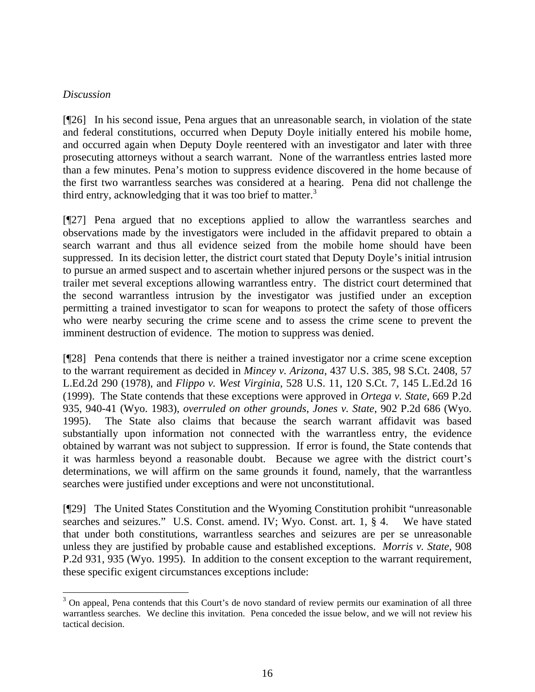# *Discussion*

[¶26] In his second issue, Pena argues that an unreasonable search, in violation of the state and federal constitutions, occurred when Deputy Doyle initially entered his mobile home, and occurred again when Deputy Doyle reentered with an investigator and later with three prosecuting attorneys without a search warrant. None of the warrantless entries lasted more than a few minutes. Pena's motion to suppress evidence discovered in the home because of the first two warrantless searches was considered at a hearing. Pena did not challenge the third entry, acknowledging that it was too brief to matter. $3$ 

[¶27] Pena argued that no exceptions applied to allow the warrantless searches and observations made by the investigators were included in the affidavit prepared to obtain a search warrant and thus all evidence seized from the mobile home should have been suppressed. In its decision letter, the district court stated that Deputy Doyle's initial intrusion to pursue an armed suspect and to ascertain whether injured persons or the suspect was in the trailer met several exceptions allowing warrantless entry. The district court determined that the second warrantless intrusion by the investigator was justified under an exception permitting a trained investigator to scan for weapons to protect the safety of those officers who were nearby securing the crime scene and to assess the crime scene to prevent the imminent destruction of evidence. The motion to suppress was denied.

[¶28] Pena contends that there is neither a trained investigator nor a crime scene exception to the warrant requirement as decided in *Mincey v. Arizona*, 437 U.S. 385, 98 S.Ct. 2408, 57 L.Ed.2d 290 (1978), and *Flippo v. West Virginia*, 528 U.S. 11, 120 S.Ct. 7, 145 L.Ed.2d 16 (1999). The State contends that these exceptions were approved in *Ortega v. State*, 669 P.2d 935, 940-41 (Wyo. 1983), *overruled on other grounds*, *Jones v. State*, 902 P.2d 686 (Wyo. 1995). The State also claims that because the search warrant affidavit was based substantially upon information not connected with the warrantless entry, the evidence obtained by warrant was not subject to suppression. If error is found, the State contends that it was harmless beyond a reasonable doubt. Because we agree with the district court's determinations, we will affirm on the same grounds it found, namely, that the warrantless searches were justified under exceptions and were not unconstitutional.

[¶29] The United States Constitution and the Wyoming Constitution prohibit "unreasonable searches and seizures." U.S. Const. amend. IV; Wyo. Const. art. 1, § 4. We have stated that under both constitutions, warrantless searches and seizures are per se unreasonable unless they are justified by probable cause and established exceptions. *Morris v. State*, 908 P.2d 931, 935 (Wyo. 1995). In addition to the consent exception to the warrant requirement, these specific exigent circumstances exceptions include:

<sup>&</sup>lt;sup>3</sup> On appeal, Pena contends that this Court's de novo standard of review permits our examination of all three warrantless searches. We decline this invitation. Pena conceded the issue below, and we will not review his tactical decision.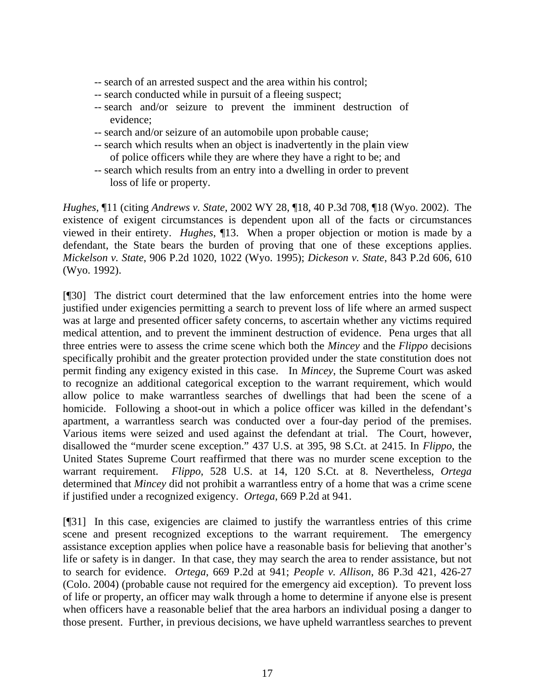- -- search of an arrested suspect and the area within his control;
- -- search conducted while in pursuit of a fleeing suspect;
- -- search and/or seizure to prevent the imminent destruction of evidence;
- -- search and/or seizure of an automobile upon probable cause;
- -- search which results when an object is inadvertently in the plain view of police officers while they are where they have a right to be; and
- -- search which results from an entry into a dwelling in order to prevent loss of life or property.

*Hughes*, ¶11 (citing *Andrews v. State*, 2002 WY 28, ¶18, 40 P.3d 708, ¶18 (Wyo. 2002). The existence of exigent circumstances is dependent upon all of the facts or circumstances viewed in their entirety. *Hughes*, ¶13. When a proper objection or motion is made by a defendant, the State bears the burden of proving that one of these exceptions applies. *Mickelson v. State*, 906 P.2d 1020, 1022 (Wyo. 1995); *Dickeson v. State*, 843 P.2d 606, 610 (Wyo. 1992).

[¶30] The district court determined that the law enforcement entries into the home were justified under exigencies permitting a search to prevent loss of life where an armed suspect was at large and presented officer safety concerns, to ascertain whether any victims required medical attention, and to prevent the imminent destruction of evidence. Pena urges that all three entries were to assess the crime scene which both the *Mincey* and the *Flippo* decisions specifically prohibit and the greater protection provided under the state constitution does not permit finding any exigency existed in this case. In *Mincey*, the Supreme Court was asked to recognize an additional categorical exception to the warrant requirement, which would allow police to make warrantless searches of dwellings that had been the scene of a homicide. Following a shoot-out in which a police officer was killed in the defendant's apartment, a warrantless search was conducted over a four-day period of the premises. Various items were seized and used against the defendant at trial. The Court, however, disallowed the "murder scene exception." 437 U.S. at 395, 98 S.Ct. at 2415. In *Flippo*, the United States Supreme Court reaffirmed that there was no murder scene exception to the warrant requirement. *Flippo*, 528 U.S. at 14, 120 S.Ct. at 8. Nevertheless, *Ortega*  determined that *Mincey* did not prohibit a warrantless entry of a home that was a crime scene if justified under a recognized exigency. *Ortega*, 669 P.2d at 941.

[¶31] In this case, exigencies are claimed to justify the warrantless entries of this crime scene and present recognized exceptions to the warrant requirement. The emergency assistance exception applies when police have a reasonable basis for believing that another's life or safety is in danger. In that case, they may search the area to render assistance, but not to search for evidence. *Ortega*, 669 P.2d at 941; *People v. Allison*, 86 P.3d 421, 426-27 (Colo. 2004) (probable cause not required for the emergency aid exception). To prevent loss of life or property, an officer may walk through a home to determine if anyone else is present when officers have a reasonable belief that the area harbors an individual posing a danger to those present. Further, in previous decisions, we have upheld warrantless searches to prevent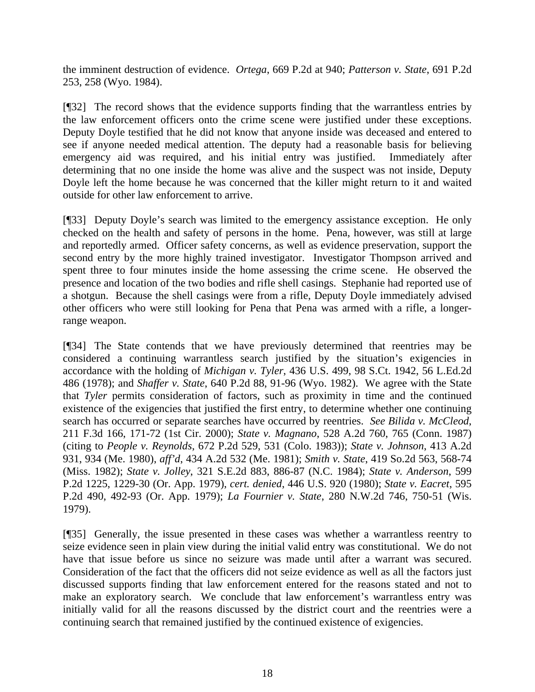the imminent destruction of evidence. *Ortega*, 669 P.2d at 940; *Patterson v. State*, 691 P.2d 253, 258 (Wyo. 1984).

[¶32] The record shows that the evidence supports finding that the warrantless entries by the law enforcement officers onto the crime scene were justified under these exceptions. Deputy Doyle testified that he did not know that anyone inside was deceased and entered to see if anyone needed medical attention. The deputy had a reasonable basis for believing emergency aid was required, and his initial entry was justified. Immediately after determining that no one inside the home was alive and the suspect was not inside, Deputy Doyle left the home because he was concerned that the killer might return to it and waited outside for other law enforcement to arrive.

[¶33] Deputy Doyle's search was limited to the emergency assistance exception. He only checked on the health and safety of persons in the home. Pena, however, was still at large and reportedly armed. Officer safety concerns, as well as evidence preservation, support the second entry by the more highly trained investigator. Investigator Thompson arrived and spent three to four minutes inside the home assessing the crime scene. He observed the presence and location of the two bodies and rifle shell casings. Stephanie had reported use of a shotgun. Because the shell casings were from a rifle, Deputy Doyle immediately advised other officers who were still looking for Pena that Pena was armed with a rifle, a longerrange weapon.

[¶34] The State contends that we have previously determined that reentries may be considered a continuing warrantless search justified by the situation's exigencies in accordance with the holding of *Michigan v. Tyler*, 436 U.S. 499, 98 S.Ct. 1942, 56 L.Ed.2d 486 (1978); and *Shaffer v. State*, 640 P.2d 88, 91-96 (Wyo. 1982). We agree with the State that *Tyler* permits consideration of factors, such as proximity in time and the continued existence of the exigencies that justified the first entry, to determine whether one continuing search has occurred or separate searches have occurred by reentries. *See Bilida v. McCleod*, 211 F.3d 166, 171-72 (1st Cir. 2000); *State v. Magnano*, 528 A.2d 760, 765 (Conn. 1987) (citing to *People v. Reynolds*, 672 P.2d 529, 531 (Colo. 1983)); *State v. Johnson*, 413 A.2d 931, 934 (Me. 1980), *aff'd*, 434 A.2d 532 (Me. 1981); *Smith v. State*, 419 So.2d 563, 568-74 (Miss. 1982); *State v. Jolley*, 321 S.E.2d 883, 886-87 (N.C. 1984); *State v. Anderson*, 599 P.2d 1225, 1229-30 (Or. App. 1979), *cert. denied*, 446 U.S. 920 (1980); *State v. Eacret*, 595 P.2d 490, 492-93 (Or. App. 1979); *La Fournier v. State*, 280 N.W.2d 746, 750-51 (Wis. 1979).

[¶35] Generally, the issue presented in these cases was whether a warrantless reentry to seize evidence seen in plain view during the initial valid entry was constitutional. We do not have that issue before us since no seizure was made until after a warrant was secured. Consideration of the fact that the officers did not seize evidence as well as all the factors just discussed supports finding that law enforcement entered for the reasons stated and not to make an exploratory search. We conclude that law enforcement's warrantless entry was initially valid for all the reasons discussed by the district court and the reentries were a continuing search that remained justified by the continued existence of exigencies.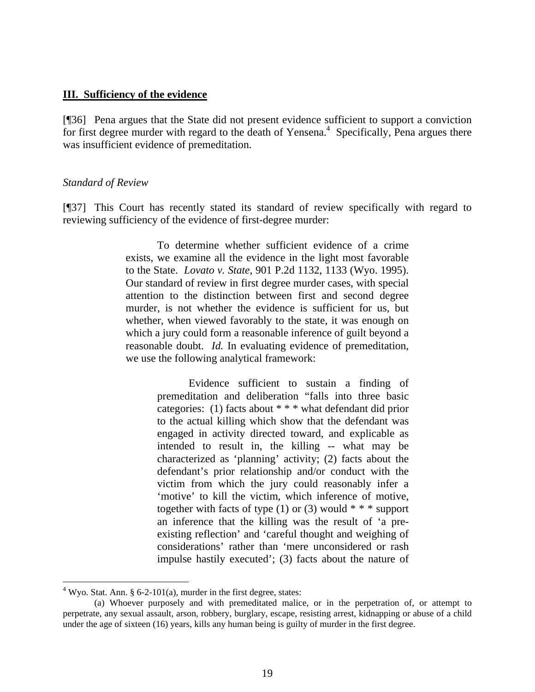#### **III. Sufficiency of the evidence**

[¶36] Pena argues that the State did not present evidence sufficient to support a conviction for first degree murder with regard to the death of Yensena.<sup>4</sup> Specifically, Pena argues there was insufficient evidence of premeditation.

### *Standard of Review*

[¶37] This Court has recently stated its standard of review specifically with regard to reviewing sufficiency of the evidence of first-degree murder:

> To determine whether sufficient evidence of a crime exists, we examine all the evidence in the light most favorable to the State. *Lovato v. State*, 901 P.2d 1132, 1133 (Wyo. 1995). Our standard of review in first degree murder cases, with special attention to the distinction between first and second degree murder, is not whether the evidence is sufficient for us, but whether, when viewed favorably to the state, it was enough on which a jury could form a reasonable inference of guilt beyond a reasonable doubt. *Id.* In evaluating evidence of premeditation, we use the following analytical framework:

> > Evidence sufficient to sustain a finding of premeditation and deliberation "falls into three basic categories: (1) facts about \* \* \* what defendant did prior to the actual killing which show that the defendant was engaged in activity directed toward, and explicable as intended to result in, the killing -- what may be characterized as 'planning' activity; (2) facts about the defendant's prior relationship and/or conduct with the victim from which the jury could reasonably infer a 'motive' to kill the victim, which inference of motive, together with facts of type  $(1)$  or  $(3)$  would  $* * *$  support an inference that the killing was the result of 'a preexisting reflection' and 'careful thought and weighing of considerations' rather than 'mere unconsidered or rash impulse hastily executed'; (3) facts about the nature of

 $\overline{a}$ 

 $4$  Wyo. Stat. Ann. § 6-2-101(a), murder in the first degree, states:

<sup>(</sup>a) Whoever purposely and with premeditated malice, or in the perpetration of, or attempt to perpetrate, any sexual assault, arson, robbery, burglary, escape, resisting arrest, kidnapping or abuse of a child under the age of sixteen (16) years, kills any human being is guilty of murder in the first degree.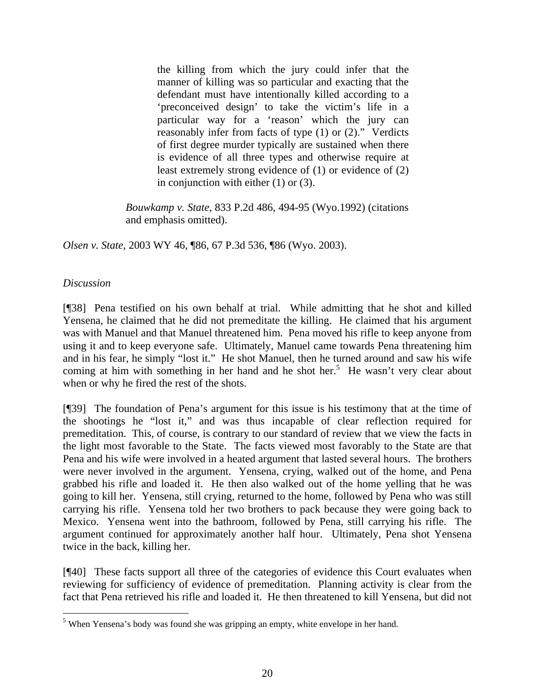the killing from which the jury could infer that the manner of killing was so particular and exacting that the defendant must have intentionally killed according to a 'preconceived design' to take the victim's life in a particular way for a 'reason' which the jury can reasonably infer from facts of type (1) or (2)." Verdicts of first degree murder typically are sustained when there is evidence of all three types and otherwise require at least extremely strong evidence of (1) or evidence of (2) in conjunction with either (1) or (3).

*Bouwkamp v. State*, 833 P.2d 486, 494-95 (Wyo.1992) (citations and emphasis omitted).

*Olsen v. State*, 2003 WY 46, ¶86, 67 P.3d 536, ¶86 (Wyo. 2003).

# *Discussion*

[¶38] Pena testified on his own behalf at trial. While admitting that he shot and killed Yensena, he claimed that he did not premeditate the killing. He claimed that his argument was with Manuel and that Manuel threatened him. Pena moved his rifle to keep anyone from using it and to keep everyone safe. Ultimately, Manuel came towards Pena threatening him and in his fear, he simply "lost it." He shot Manuel, then he turned around and saw his wife coming at him with something in her hand and he shot her.<sup>5</sup> He wasn't very clear about when or why he fired the rest of the shots.

[¶39] The foundation of Pena's argument for this issue is his testimony that at the time of the shootings he "lost it," and was thus incapable of clear reflection required for premeditation. This, of course, is contrary to our standard of review that we view the facts in the light most favorable to the State. The facts viewed most favorably to the State are that Pena and his wife were involved in a heated argument that lasted several hours. The brothers were never involved in the argument. Yensena, crying, walked out of the home, and Pena grabbed his rifle and loaded it. He then also walked out of the home yelling that he was going to kill her. Yensena, still crying, returned to the home, followed by Pena who was still carrying his rifle. Yensena told her two brothers to pack because they were going back to Mexico. Yensena went into the bathroom, followed by Pena, still carrying his rifle. The argument continued for approximately another half hour. Ultimately, Pena shot Yensena twice in the back, killing her.

[¶40] These facts support all three of the categories of evidence this Court evaluates when reviewing for sufficiency of evidence of premeditation. Planning activity is clear from the fact that Pena retrieved his rifle and loaded it. He then threatened to kill Yensena, but did not

<sup>&</sup>lt;sup>5</sup> When Yensena's body was found she was gripping an empty, white envelope in her hand.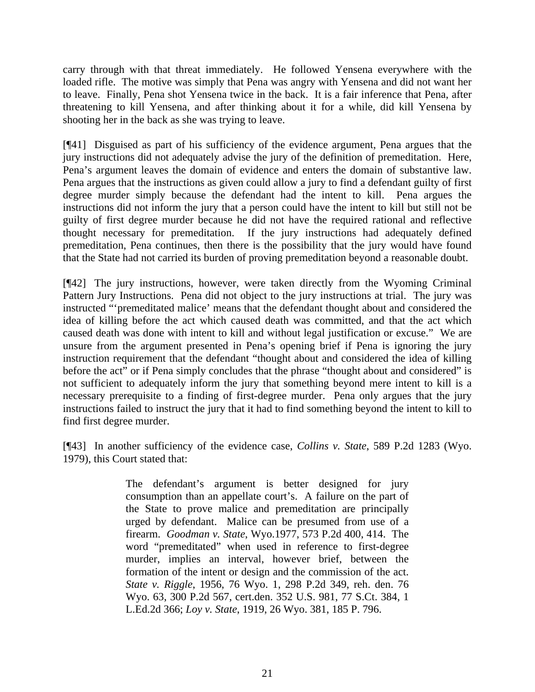carry through with that threat immediately. He followed Yensena everywhere with the loaded rifle. The motive was simply that Pena was angry with Yensena and did not want her to leave. Finally, Pena shot Yensena twice in the back. It is a fair inference that Pena, after threatening to kill Yensena, and after thinking about it for a while, did kill Yensena by shooting her in the back as she was trying to leave.

[¶41] Disguised as part of his sufficiency of the evidence argument, Pena argues that the jury instructions did not adequately advise the jury of the definition of premeditation. Here, Pena's argument leaves the domain of evidence and enters the domain of substantive law. Pena argues that the instructions as given could allow a jury to find a defendant guilty of first degree murder simply because the defendant had the intent to kill. Pena argues the instructions did not inform the jury that a person could have the intent to kill but still not be guilty of first degree murder because he did not have the required rational and reflective thought necessary for premeditation. If the jury instructions had adequately defined premeditation, Pena continues, then there is the possibility that the jury would have found that the State had not carried its burden of proving premeditation beyond a reasonable doubt.

[¶42] The jury instructions, however, were taken directly from the Wyoming Criminal Pattern Jury Instructions. Pena did not object to the jury instructions at trial. The jury was instructed "'premeditated malice' means that the defendant thought about and considered the idea of killing before the act which caused death was committed, and that the act which caused death was done with intent to kill and without legal justification or excuse." We are unsure from the argument presented in Pena's opening brief if Pena is ignoring the jury instruction requirement that the defendant "thought about and considered the idea of killing before the act" or if Pena simply concludes that the phrase "thought about and considered" is not sufficient to adequately inform the jury that something beyond mere intent to kill is a necessary prerequisite to a finding of first-degree murder. Pena only argues that the jury instructions failed to instruct the jury that it had to find something beyond the intent to kill to find first degree murder.

[¶43] In another sufficiency of the evidence case, *Collins v. State*, 589 P.2d 1283 (Wyo. 1979), this Court stated that:

> The defendant's argument is better designed for jury consumption than an appellate court's. A failure on the part of the State to prove malice and premeditation are principally urged by defendant. Malice can be presumed from use of a firearm. *Goodman v. State*, Wyo.1977, 573 P.2d 400, 414. The word "premeditated" when used in reference to first-degree murder, implies an interval, however brief, between the formation of the intent or design and the commission of the act. *State v. Riggle*, 1956, 76 Wyo. 1, 298 P.2d 349, reh. den. 76 Wyo. 63, 300 P.2d 567, cert.den. 352 U.S. 981, 77 S.Ct. 384, 1 L.Ed.2d 366; *Loy v. State*, 1919, 26 Wyo. 381, 185 P. 796.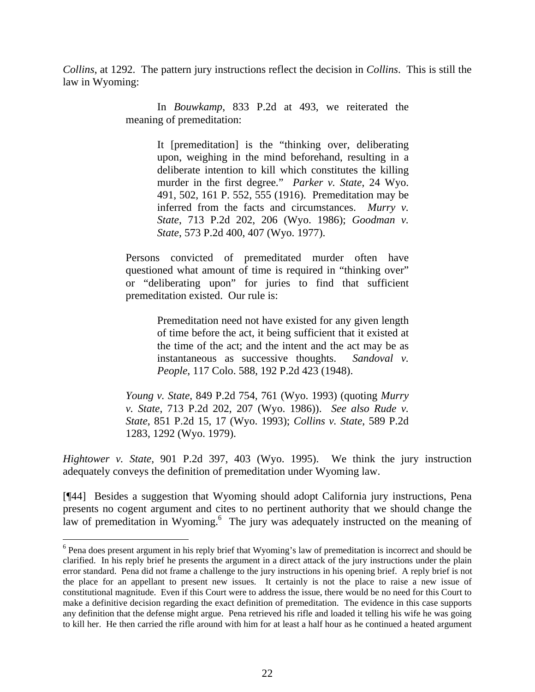*Collins*, at 1292. The pattern jury instructions reflect the decision in *Collins*. This is still the law in Wyoming:

> In *Bouwkamp*, 833 P.2d at 493, we reiterated the meaning of premeditation:

> > It [premeditation] is the "thinking over, deliberating upon, weighing in the mind beforehand, resulting in a deliberate intention to kill which constitutes the killing murder in the first degree." *Parker v. State*, 24 Wyo. 491, 502, 161 P. 552, 555 (1916). Premeditation may be inferred from the facts and circumstances. *Murry v. State*, 713 P.2d 202, 206 (Wyo. 1986); *Goodman v. State*, 573 P.2d 400, 407 (Wyo. 1977).

Persons convicted of premeditated murder often have questioned what amount of time is required in "thinking over" or "deliberating upon" for juries to find that sufficient premeditation existed. Our rule is:

> Premeditation need not have existed for any given length of time before the act, it being sufficient that it existed at the time of the act; and the intent and the act may be as instantaneous as successive thoughts. *Sandoval v. People*, 117 Colo. 588, 192 P.2d 423 (1948).

*Young v. State*, 849 P.2d 754, 761 (Wyo. 1993) (quoting *Murry v. State*, 713 P.2d 202, 207 (Wyo. 1986)). *See also Rude v. State*, 851 P.2d 15, 17 (Wyo. 1993); *Collins v. State*, 589 P.2d 1283, 1292 (Wyo. 1979).

*Hightower v. State*, 901 P.2d 397, 403 (Wyo. 1995). We think the jury instruction adequately conveys the definition of premeditation under Wyoming law.

[¶44] Besides a suggestion that Wyoming should adopt California jury instructions, Pena presents no cogent argument and cites to no pertinent authority that we should change the law of premeditation in Wyoming.<sup>6</sup> The jury was adequately instructed on the meaning of

<sup>&</sup>lt;sup>6</sup> Pena does present argument in his reply brief that Wyoming's law of premeditation is incorrect and should be clarified. In his reply brief he presents the argument in a direct attack of the jury instructions under the plain error standard. Pena did not frame a challenge to the jury instructions in his opening brief. A reply brief is not the place for an appellant to present new issues. It certainly is not the place to raise a new issue of constitutional magnitude. Even if this Court were to address the issue, there would be no need for this Court to make a definitive decision regarding the exact definition of premeditation. The evidence in this case supports any definition that the defense might argue. Pena retrieved his rifle and loaded it telling his wife he was going to kill her. He then carried the rifle around with him for at least a half hour as he continued a heated argument